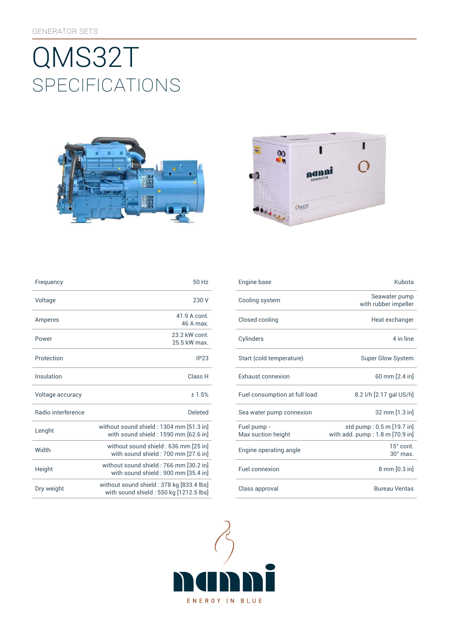# SpEcificATiONS QMS32T





| Frequency                 | 50 Hz                                                                              |
|---------------------------|------------------------------------------------------------------------------------|
| Voltage                   | 230 V                                                                              |
| Amperes                   | 41.9 A cont.<br>46 A max                                                           |
| Power                     | 23.2 kW cont<br>25.5 kW max                                                        |
| Protection                | IP23                                                                               |
| Insulation                | Class <sub>H</sub>                                                                 |
| Voltage accuracy          | ±1.5%                                                                              |
| <b>Badio</b> interference | Deleted                                                                            |
| Lenght                    | without sound shield: 1304 mm [51.3 in]<br>with sound shield : 1590 mm [62.6 in]   |
| Width                     | without sound shield: 636 mm [25 in]<br>with sound shield: 700 mm [27.6 in]        |
| Height                    | without sound shield: 766 mm [30.2 in]<br>with sound shield : 900 mm [35.4 in]     |
| Dry weight                | without sound shield: 378 kg [833.4 lbs]<br>with sound shield: 550 kg [1212.5 lbs] |

| Frequency          | 50 Hz                                                                              |  | Engine base                       | Kubota                                                                |
|--------------------|------------------------------------------------------------------------------------|--|-----------------------------------|-----------------------------------------------------------------------|
| Voltage            | 230 V                                                                              |  | Cooling system                    | Seawater pump<br>with rubber impeller                                 |
| Amperes            | 41.9 A cont.<br>46 A max.                                                          |  | Closed cooling                    | Heat exchanger                                                        |
| Power              | 23.2 kW cont.<br>25.5 kW max.                                                      |  | Cylinders                         | 4 in line                                                             |
| Protection         | IP23                                                                               |  | Start (cold temperature)          | <b>Super Glow System</b>                                              |
| Insulation         | Class H                                                                            |  | Exhaust connexion                 | 60 mm [2.4 in]                                                        |
| Voltage accuracy   | ± 1.5%                                                                             |  | Fuel consumption at full load     | 8.2 l/h [2.17 gal US/h]                                               |
| Radio interference | <b>Deleted</b>                                                                     |  | Sea water pump connexion          | 32 mm [1.3 in]                                                        |
| Lenght             | without sound shield: 1304 mm [51.3 in]<br>with sound shield: 1590 mm [62.6 in]    |  | Fuel pump -<br>Max suction height | std pump: 0.5 m [19.7 in]<br>with add. $pump:1.8 \text{ m}$ [70.9 in] |
| Width              | without sound shield : 636 mm [25 in]<br>with sound shield: 700 mm [27.6 in]       |  | Engine operating angle            | 15° cont.<br>$30^\circ$ max.                                          |
| Height             | without sound shield: 766 mm [30.2 in]<br>with sound shield : 900 mm [35.4 in]     |  | Fuel connexion                    | $8 \text{ mm} [0.3 \text{ in}]$                                       |
| Dry weight         | without sound shield: 378 kg [833.4 lbs]<br>with sound shield: 550 kg [1212.5 lbs] |  | Class approval                    | <b>Bureau Veritas</b>                                                 |